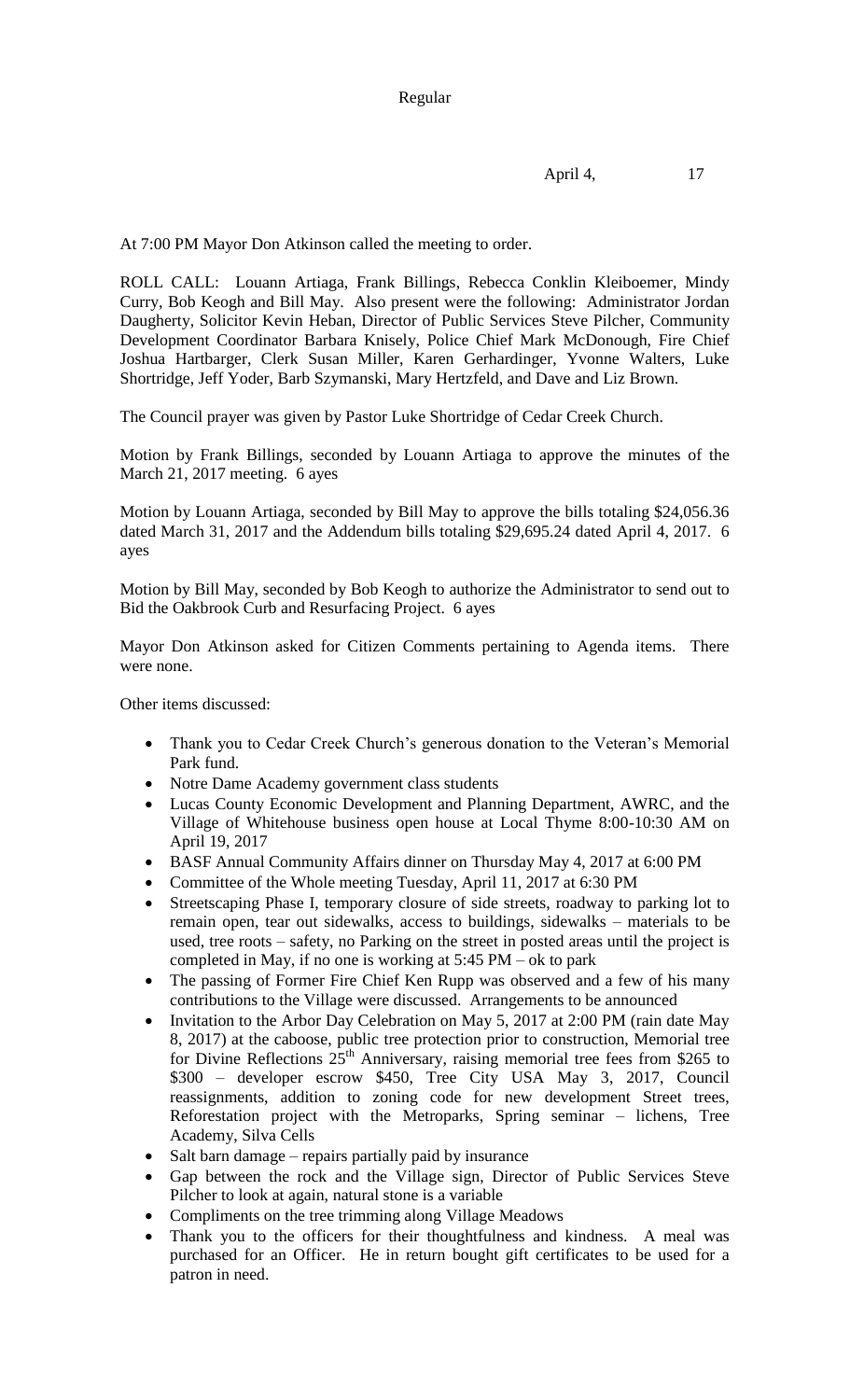At 7:00 PM Mayor Don Atkinson called the meeting to order.

ROLL CALL: Louann Artiaga, Frank Billings, Rebecca Conklin Kleiboemer, Mindy Curry, Bob Keogh and Bill May. Also present were the following: Administrator Jordan Daugherty, Solicitor Kevin Heban, Director of Public Services Steve Pilcher, Community Development Coordinator Barbara Knisely, Police Chief Mark McDonough, Fire Chief Joshua Hartbarger, Clerk Susan Miller, Karen Gerhardinger, Yvonne Walters, Luke Shortridge, Jeff Yoder, Barb Szymanski, Mary Hertzfeld, and Dave and Liz Brown.

The Council prayer was given by Pastor Luke Shortridge of Cedar Creek Church.

Motion by Frank Billings, seconded by Louann Artiaga to approve the minutes of the March 21, 2017 meeting. 6 ayes

Motion by Louann Artiaga, seconded by Bill May to approve the bills totaling \$24,056.36 dated March 31, 2017 and the Addendum bills totaling \$29,695.24 dated April 4, 2017. 6 ayes

Motion by Bill May, seconded by Bob Keogh to authorize the Administrator to send out to Bid the Oakbrook Curb and Resurfacing Project. 6 ayes

Mayor Don Atkinson asked for Citizen Comments pertaining to Agenda items. There were none.

Other items discussed:

- Thank you to Cedar Creek Church's generous donation to the Veteran's Memorial Park fund.
- Notre Dame Academy government class students
- Lucas County Economic Development and Planning Department, AWRC, and the Village of Whitehouse business open house at Local Thyme 8:00-10:30 AM on April 19, 2017
- BASF Annual Community Affairs dinner on Thursday May 4, 2017 at 6:00 PM
- Committee of the Whole meeting Tuesday, April 11, 2017 at 6:30 PM
- Streetscaping Phase I, temporary closure of side streets, roadway to parking lot to remain open, tear out sidewalks, access to buildings, sidewalks – materials to be used, tree roots – safety, no Parking on the street in posted areas until the project is completed in May, if no one is working at  $5:45$  PM – ok to park
- The passing of Former Fire Chief Ken Rupp was observed and a few of his many contributions to the Village were discussed. Arrangements to be announced
- Invitation to the Arbor Day Celebration on May 5, 2017 at 2:00 PM (rain date May 8, 2017) at the caboose, public tree protection prior to construction, Memorial tree for Divine Reflections  $25<sup>th</sup>$  Anniversary, raising memorial tree fees from \$265 to \$300 – developer escrow \$450, Tree City USA May 3, 2017, Council reassignments, addition to zoning code for new development Street trees, Reforestation project with the Metroparks, Spring seminar – lichens, Tree Academy, Silva Cells
- Salt barn damage repairs partially paid by insurance
- Gap between the rock and the Village sign, Director of Public Services Steve Pilcher to look at again, natural stone is a variable
- Compliments on the tree trimming along Village Meadows
- Thank you to the officers for their thoughtfulness and kindness. A meal was purchased for an Officer. He in return bought gift certificates to be used for a patron in need.